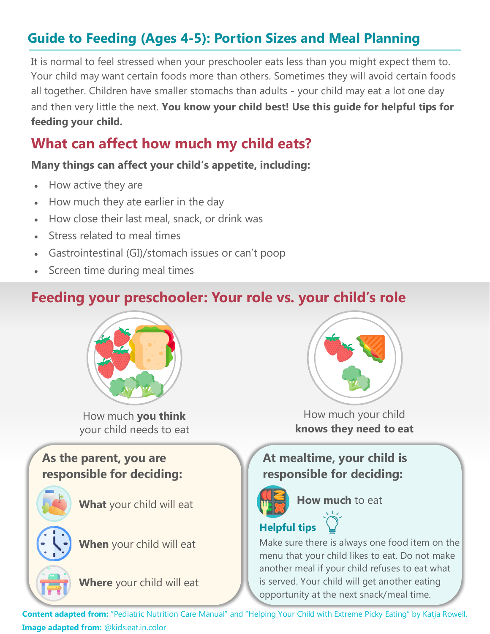# **Guide to Feeding (Ages 4-5): Portion Sizes and Meal Planning**

It is normal to feel stressed when your preschooler eats less than you might expect them to. Your child may want certain foods more than others. Sometimes they will avoid certain foods all together. Children have smaller stomachs than adults - your child may eat a lot one day and then very little the next. **You know your child best! Use this guide for helpful tips for feeding your child.** 

# **What can affect how much my child eats?**

#### **Many things can affect your child's appetite, including:**

- How active they are
- How much they ate earlier in the day
- How close their last meal, snack, or drink was
- Stress related to meal times
- Gastrointestinal (GI)/stomach issues or can't poop
- Screen time during meal times

## **Feeding your preschooler: Your role vs. your child's role**



How much **you think**  your child needs to eat

### **As the parent, you are responsible for deciding:**







**When** your child will eat

**Where** your child will eat



How much your child **knows they need to eat** 

## **At mealtime, your child is responsible for deciding:**



**How much** to eat

## **Helpful tips**

Make sure there is always one food item on the menu that your child likes to eat. Do not make another meal if your child refuses to eat what is served. Your child will get another eating opportunity at the next snack/meal time.

**Content adapted from:** "Pediatric Nutrition Care Manual" and "Helping Your Child with Extreme Picky Eating" by Katja Rowell. **Image adapted from:** @kids.eat.in.color